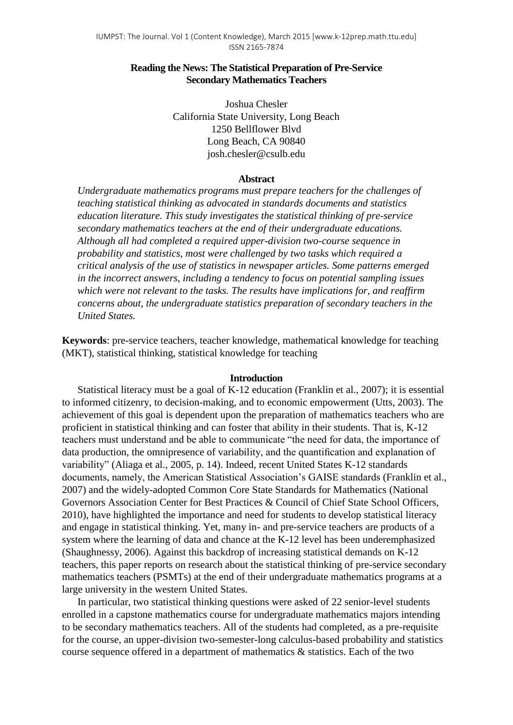### **Reading the News: The Statistical Preparation of Pre-Service Secondary Mathematics Teachers**

Joshua Chesler California State University, Long Beach 1250 Bellflower Blvd Long Beach, CA 90840 josh.chesler@csulb.edu

### **Abstract**

*Undergraduate mathematics programs must prepare teachers for the challenges of teaching statistical thinking as advocated in standards documents and statistics education literature. This study investigates the statistical thinking of pre-service secondary mathematics teachers at the end of their undergraduate educations. Although all had completed a required upper-division two-course sequence in probability and statistics, most were challenged by two tasks which required a critical analysis of the use of statistics in newspaper articles. Some patterns emerged in the incorrect answers, including a tendency to focus on potential sampling issues which were not relevant to the tasks. The results have implications for, and reaffirm concerns about, the undergraduate statistics preparation of secondary teachers in the United States.*

**Keywords**: pre-service teachers, teacher knowledge, mathematical knowledge for teaching (MKT), statistical thinking, statistical knowledge for teaching

### **Introduction**

Statistical literacy must be a goal of K-12 education (Franklin et al., 2007); it is essential to informed citizenry, to decision-making, and to economic empowerment (Utts, 2003). The achievement of this goal is dependent upon the preparation of mathematics teachers who are proficient in statistical thinking and can foster that ability in their students. That is, K-12 teachers must understand and be able to communicate "the need for data, the importance of data production, the omnipresence of variability, and the quantification and explanation of variability" (Aliaga et al., 2005, p. 14). Indeed, recent United States K-12 standards documents, namely, the American Statistical Association's GAISE standards (Franklin et al., 2007) and the widely-adopted Common Core State Standards for Mathematics (National Governors Association Center for Best Practices & Council of Chief State School Officers, 2010), have highlighted the importance and need for students to develop statistical literacy and engage in statistical thinking. Yet, many in- and pre-service teachers are products of a system where the learning of data and chance at the K-12 level has been underemphasized (Shaughnessy, 2006). Against this backdrop of increasing statistical demands on K-12 teachers, this paper reports on research about the statistical thinking of pre-service secondary mathematics teachers (PSMTs) at the end of their undergraduate mathematics programs at a large university in the western United States.

In particular, two statistical thinking questions were asked of 22 senior-level students enrolled in a capstone mathematics course for undergraduate mathematics majors intending to be secondary mathematics teachers. All of the students had completed, as a pre-requisite for the course, an upper-division two-semester-long calculus-based probability and statistics course sequence offered in a department of mathematics & statistics. Each of the two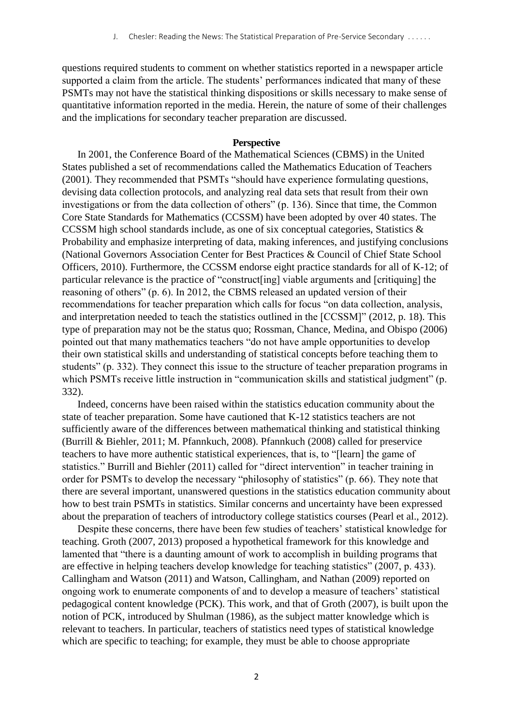questions required students to comment on whether statistics reported in a newspaper article supported a claim from the article. The students' performances indicated that many of these PSMTs may not have the statistical thinking dispositions or skills necessary to make sense of quantitative information reported in the media. Herein, the nature of some of their challenges and the implications for secondary teacher preparation are discussed.

### **Perspective**

In 2001, the Conference Board of the Mathematical Sciences (CBMS) in the United States published a set of recommendations called the Mathematics Education of Teachers (2001). They recommended that PSMTs "should have experience formulating questions, devising data collection protocols, and analyzing real data sets that result from their own investigations or from the data collection of others" (p. 136). Since that time, the Common Core State Standards for Mathematics (CCSSM) have been adopted by over 40 states. The CCSSM high school standards include, as one of six conceptual categories, Statistics & Probability and emphasize interpreting of data, making inferences, and justifying conclusions (National Governors Association Center for Best Practices & Council of Chief State School Officers, 2010). Furthermore, the CCSSM endorse eight practice standards for all of K-12; of particular relevance is the practice of "construct[ing] viable arguments and [critiquing] the reasoning of others" (p. 6). In 2012, the CBMS released an updated version of their recommendations for teacher preparation which calls for focus "on data collection, analysis, and interpretation needed to teach the statistics outlined in the [CCSSM]" (2012, p. 18). This type of preparation may not be the status quo; Rossman, Chance, Medina, and Obispo (2006) pointed out that many mathematics teachers "do not have ample opportunities to develop their own statistical skills and understanding of statistical concepts before teaching them to students" (p. 332). They connect this issue to the structure of teacher preparation programs in which PSMTs receive little instruction in "communication skills and statistical judgment" (p. 332).

Indeed, concerns have been raised within the statistics education community about the state of teacher preparation. Some have cautioned that K-12 statistics teachers are not sufficiently aware of the differences between mathematical thinking and statistical thinking (Burrill & Biehler, 2011; M. Pfannkuch, 2008). Pfannkuch (2008) called for preservice teachers to have more authentic statistical experiences, that is, to "[learn] the game of statistics." Burrill and Biehler (2011) called for "direct intervention" in teacher training in order for PSMTs to develop the necessary "philosophy of statistics" (p. 66). They note that there are several important, unanswered questions in the statistics education community about how to best train PSMTs in statistics. Similar concerns and uncertainty have been expressed about the preparation of teachers of introductory college statistics courses (Pearl et al., 2012).

Despite these concerns, there have been few studies of teachers' statistical knowledge for teaching. Groth (2007, 2013) proposed a hypothetical framework for this knowledge and lamented that "there is a daunting amount of work to accomplish in building programs that are effective in helping teachers develop knowledge for teaching statistics" (2007, p. 433). Callingham and Watson (2011) and Watson, Callingham, and Nathan (2009) reported on ongoing work to enumerate components of and to develop a measure of teachers' statistical pedagogical content knowledge (PCK). This work, and that of Groth (2007), is built upon the notion of PCK, introduced by Shulman (1986), as the subject matter knowledge which is relevant to teachers. In particular, teachers of statistics need types of statistical knowledge which are specific to teaching; for example, they must be able to choose appropriate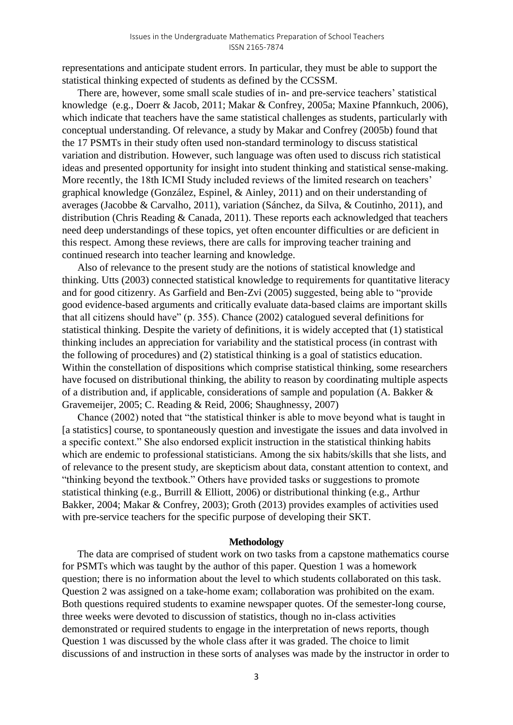representations and anticipate student errors. In particular, they must be able to support the statistical thinking expected of students as defined by the CCSSM.

There are, however, some small scale studies of in- and pre-service teachers' statistical knowledge (e.g., Doerr & Jacob, 2011; Makar & Confrey, 2005a; Maxine Pfannkuch, 2006), which indicate that teachers have the same statistical challenges as students, particularly with conceptual understanding. Of relevance, a study by Makar and Confrey (2005b) found that the 17 PSMTs in their study often used non-standard terminology to discuss statistical variation and distribution. However, such language was often used to discuss rich statistical ideas and presented opportunity for insight into student thinking and statistical sense-making. More recently, the 18th ICMI Study included reviews of the limited research on teachers' graphical knowledge (González, Espinel, & Ainley, 2011) and on their understanding of averages (Jacobbe & Carvalho, 2011), variation (Sánchez, da Silva, & Coutinho, 2011), and distribution (Chris Reading & Canada, 2011). These reports each acknowledged that teachers need deep understandings of these topics, yet often encounter difficulties or are deficient in this respect. Among these reviews, there are calls for improving teacher training and continued research into teacher learning and knowledge.

Also of relevance to the present study are the notions of statistical knowledge and thinking. Utts (2003) connected statistical knowledge to requirements for quantitative literacy and for good citizenry. As Garfield and Ben-Zvi (2005) suggested, being able to "provide good evidence-based arguments and critically evaluate data-based claims are important skills that all citizens should have" (p. 355). Chance (2002) catalogued several definitions for statistical thinking. Despite the variety of definitions, it is widely accepted that (1) statistical thinking includes an appreciation for variability and the statistical process (in contrast with the following of procedures) and (2) statistical thinking is a goal of statistics education. Within the constellation of dispositions which comprise statistical thinking, some researchers have focused on distributional thinking, the ability to reason by coordinating multiple aspects of a distribution and, if applicable, considerations of sample and population (A. Bakker & Gravemeijer, 2005; C. Reading & Reid, 2006; Shaughnessy, 2007)

Chance (2002) noted that "the statistical thinker is able to move beyond what is taught in [a statistics] course, to spontaneously question and investigate the issues and data involved in a specific context." She also endorsed explicit instruction in the statistical thinking habits which are endemic to professional statisticians. Among the six habits/skills that she lists, and of relevance to the present study, are skepticism about data, constant attention to context, and "thinking beyond the textbook." Others have provided tasks or suggestions to promote statistical thinking (e.g., Burrill & Elliott, 2006) or distributional thinking (e.g., Arthur Bakker, 2004; Makar & Confrey, 2003); Groth (2013) provides examples of activities used with pre-service teachers for the specific purpose of developing their SKT.

### **Methodology**

The data are comprised of student work on two tasks from a capstone mathematics course for PSMTs which was taught by the author of this paper. Question 1 was a homework question; there is no information about the level to which students collaborated on this task. Question 2 was assigned on a take-home exam; collaboration was prohibited on the exam. Both questions required students to examine newspaper quotes. Of the semester-long course, three weeks were devoted to discussion of statistics, though no in-class activities demonstrated or required students to engage in the interpretation of news reports, though Question 1 was discussed by the whole class after it was graded. The choice to limit discussions of and instruction in these sorts of analyses was made by the instructor in order to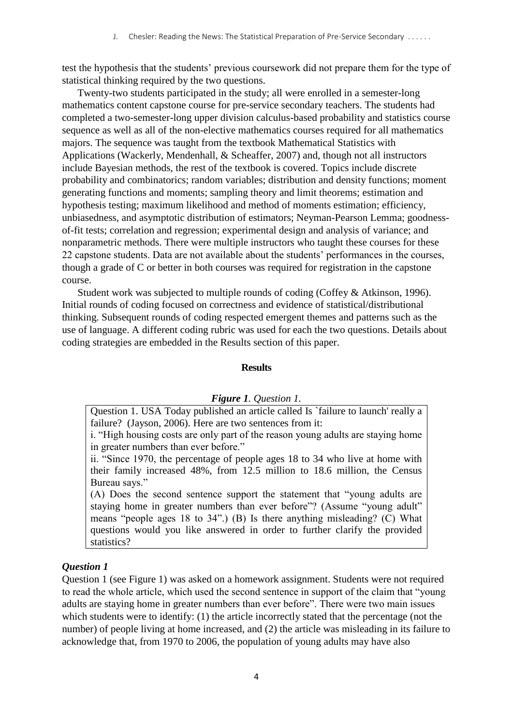test the hypothesis that the students' previous coursework did not prepare them for the type of statistical thinking required by the two questions.

Twenty-two students participated in the study; all were enrolled in a semester-long mathematics content capstone course for pre-service secondary teachers. The students had completed a two-semester-long upper division calculus-based probability and statistics course sequence as well as all of the non-elective mathematics courses required for all mathematics majors. The sequence was taught from the textbook Mathematical Statistics with Applications (Wackerly, Mendenhall, & Scheaffer, 2007) and, though not all instructors include Bayesian methods, the rest of the textbook is covered. Topics include discrete probability and combinatorics; random variables; distribution and density functions; moment generating functions and moments; sampling theory and limit theorems; estimation and hypothesis testing; maximum likelihood and method of moments estimation; efficiency, unbiasedness, and asymptotic distribution of estimators; Neyman-Pearson Lemma; goodnessof-fit tests; correlation and regression; experimental design and analysis of variance; and nonparametric methods. There were multiple instructors who taught these courses for these 22 capstone students. Data are not available about the students' performances in the courses, though a grade of C or better in both courses was required for registration in the capstone course.

Student work was subjected to multiple rounds of coding (Coffey & Atkinson, 1996). Initial rounds of coding focused on correctness and evidence of statistical/distributional thinking. Subsequent rounds of coding respected emergent themes and patterns such as the use of language. A different coding rubric was used for each the two questions. Details about coding strategies are embedded in the Results section of this paper.

## **Results**

## *Figure 1. Question 1.*

Question 1. USA Today published an article called Is `failure to launch' really a failure? (Jayson, 2006). Here are two sentences from it:

i. "High housing costs are only part of the reason young adults are staying home in greater numbers than ever before."

ii. "Since 1970, the percentage of people ages 18 to 34 who live at home with their family increased 48%, from 12.5 million to 18.6 million, the Census Bureau says."

(A) Does the second sentence support the statement that "young adults are staying home in greater numbers than ever before"? (Assume "young adult" means "people ages 18 to 34".) (B) Is there anything misleading? (C) What questions would you like answered in order to further clarify the provided statistics?

## *Question 1*

Question 1 (see Figure 1) was asked on a homework assignment. Students were not required to read the whole article, which used the second sentence in support of the claim that "young adults are staying home in greater numbers than ever before". There were two main issues which students were to identify: (1) the article incorrectly stated that the percentage (not the number) of people living at home increased, and (2) the article was misleading in its failure to acknowledge that, from 1970 to 2006, the population of young adults may have also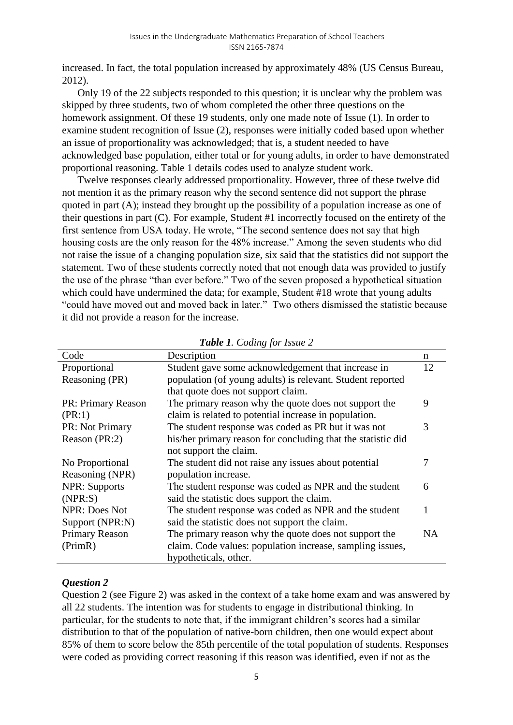increased. In fact, the total population increased by approximately 48% (US Census Bureau, 2012).

Only 19 of the 22 subjects responded to this question; it is unclear why the problem was skipped by three students, two of whom completed the other three questions on the homework assignment. Of these 19 students, only one made note of Issue (1). In order to examine student recognition of Issue (2), responses were initially coded based upon whether an issue of proportionality was acknowledged; that is, a student needed to have acknowledged base population, either total or for young adults, in order to have demonstrated proportional reasoning. [Table 1](#page-4-0) details codes used to analyze student work.

Twelve responses clearly addressed proportionality. However, three of these twelve did not mention it as the primary reason why the second sentence did not support the phrase quoted in part (A); instead they brought up the possibility of a population increase as one of their questions in part (C). For example, Student #1 incorrectly focused on the entirety of the first sentence from USA today. He wrote, "The second sentence does not say that high housing costs are the only reason for the 48% increase." Among the seven students who did not raise the issue of a changing population size, six said that the statistics did not support the statement. Two of these students correctly noted that not enough data was provided to justify the use of the phrase "than ever before." Two of the seven proposed a hypothetical situation which could have undermined the data; for example, Student #18 wrote that young adults "could have moved out and moved back in later." Two others dismissed the statistic because it did not provide a reason for the increase.

<span id="page-4-0"></span>

| Code                 | Description                                                  | n  |
|----------------------|--------------------------------------------------------------|----|
| Proportional         | Student gave some acknowledgement that increase in           | 12 |
| Reasoning (PR)       | population (of young adults) is relevant. Student reported   |    |
|                      | that quote does not support claim.                           |    |
| PR: Primary Reason   | The primary reason why the quote does not support the        | 9  |
| (PR:1)               | claim is related to potential increase in population.        |    |
| PR: Not Primary      | The student response was coded as PR but it was not          | 3  |
| Reason (PR:2)        | his/her primary reason for concluding that the statistic did |    |
|                      | not support the claim.                                       |    |
| No Proportional      | The student did not raise any issues about potential         | 7  |
| Reasoning (NPR)      | population increase.                                         |    |
| <b>NPR:</b> Supports | The student response was coded as NPR and the student        | 6  |
| (NPR: S)             | said the statistic does support the claim.                   |    |
| <b>NPR: Does Not</b> | The student response was coded as NPR and the student        | 1  |
| Support (NPR:N)      | said the statistic does not support the claim.               |    |
| Primary Reason       | The primary reason why the quote does not support the        | NA |
| (PrimR)              | claim. Code values: population increase, sampling issues,    |    |
|                      | hypotheticals, other.                                        |    |

|  | Table 1. Coding for Issue 2 |  |  |  |
|--|-----------------------------|--|--|--|
|--|-----------------------------|--|--|--|

# *Question 2*

Question 2 (see [Figure 2\)](#page-5-0) was asked in the context of a take home exam and was answered by all 22 students. The intention was for students to engage in distributional thinking. In particular, for the students to note that, if the immigrant children's scores had a similar distribution to that of the population of native-born children, then one would expect about 85% of them to score below the 85th percentile of the total population of students. Responses were coded as providing correct reasoning if this reason was identified, even if not as the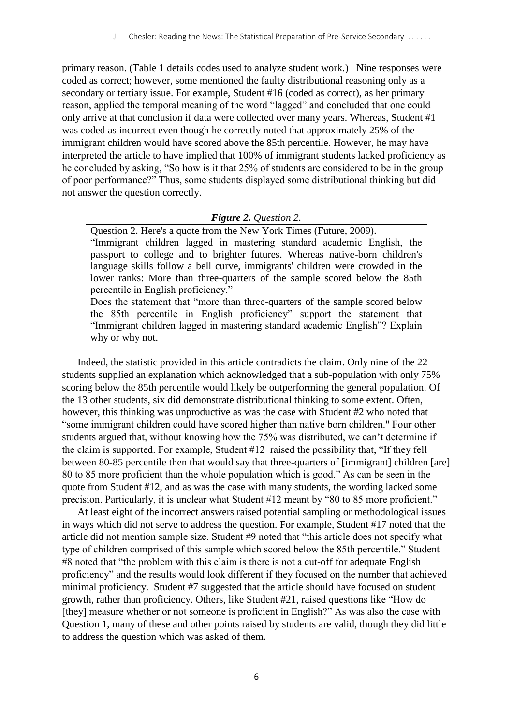primary reason. [\(Table 1](#page-4-0) details codes used to analyze student work.) Nine responses were coded as correct; however, some mentioned the faulty distributional reasoning only as a secondary or tertiary issue. For example, Student #16 (coded as correct), as her primary reason, applied the temporal meaning of the word "lagged" and concluded that one could only arrive at that conclusion if data were collected over many years. Whereas, Student #1 was coded as incorrect even though he correctly noted that approximately 25% of the immigrant children would have scored above the 85th percentile. However, he may have interpreted the article to have implied that 100% of immigrant students lacked proficiency as he concluded by asking, "So how is it that 25% of students are considered to be in the group of poor performance?" Thus, some students displayed some distributional thinking but did not answer the question correctly.

## *Figure 2. Question 2.*

<span id="page-5-0"></span>Question 2. Here's a quote from the New York Times (Future, 2009). "Immigrant children lagged in mastering standard academic English, the passport to college and to brighter futures. Whereas native-born children's language skills follow a bell curve, immigrants' children were crowded in the lower ranks: More than three-quarters of the sample scored below the 85th percentile in English proficiency."

Does the statement that "more than three-quarters of the sample scored below the 85th percentile in English proficiency" support the statement that "Immigrant children lagged in mastering standard academic English"? Explain why or why not.

Indeed, the statistic provided in this article contradicts the claim. Only nine of the 22 students supplied an explanation which acknowledged that a sub-population with only 75% scoring below the 85th percentile would likely be outperforming the general population. Of the 13 other students, six did demonstrate distributional thinking to some extent. Often, however, this thinking was unproductive as was the case with Student #2 who noted that "some immigrant children could have scored higher than native born children." Four other students argued that, without knowing how the 75% was distributed, we can't determine if the claim is supported. For example, Student #12 raised the possibility that, "If they fell between 80-85 percentile then that would say that three-quarters of [immigrant] children [are] 80 to 85 more proficient than the whole population which is good." As can be seen in the quote from Student #12, and as was the case with many students, the wording lacked some precision. Particularly, it is unclear what Student #12 meant by "80 to 85 more proficient."

At least eight of the incorrect answers raised potential sampling or methodological issues in ways which did not serve to address the question. For example, Student #17 noted that the article did not mention sample size. Student #9 noted that "this article does not specify what type of children comprised of this sample which scored below the 85th percentile." Student #8 noted that "the problem with this claim is there is not a cut-off for adequate English proficiency" and the results would look different if they focused on the number that achieved minimal proficiency. Student #7 suggested that the article should have focused on student growth, rather than proficiency. Others, like Student #21, raised questions like "How do [they] measure whether or not someone is proficient in English?" As was also the case with Question 1, many of these and other points raised by students are valid, though they did little to address the question which was asked of them.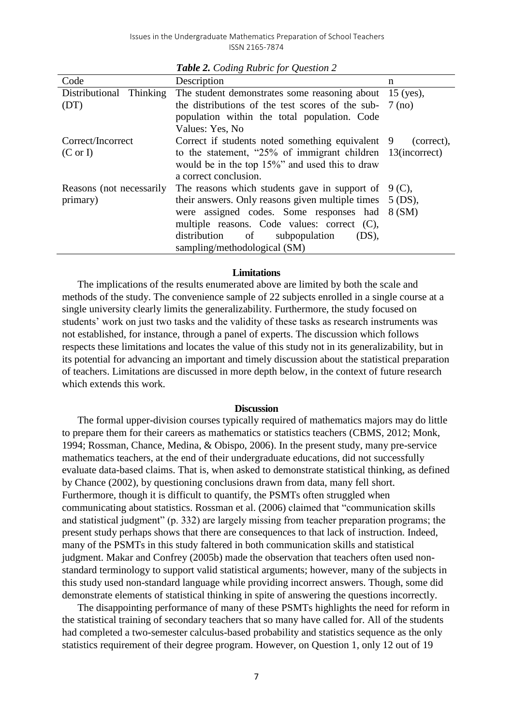|                          | $\cup$                                                            |            |
|--------------------------|-------------------------------------------------------------------|------------|
| Code                     | Description                                                       | n          |
| Distributional Thinking  | The student demonstrates some reasoning about 15 (yes),           |            |
| (DT)                     | the distributions of the test scores of the sub- $7 \text{ (no)}$ |            |
|                          | population within the total population. Code                      |            |
|                          | Values: Yes, No.                                                  |            |
| Correct/Incorrect        | Correct if students noted something equivalent 9                  | (correct), |
| $(C \text{ or } I)$      | to the statement, "25% of immigrant children 13(incorrect)        |            |
|                          | would be in the top 15%" and used this to draw                    |            |
|                          | a correct conclusion.                                             |            |
| Reasons (not necessarily | The reasons which students gave in support of $9(C)$ ,            |            |
| primary)                 | their answers. Only reasons given multiple times $5$ (DS),        |            |
|                          | were assigned codes. Some responses had 8 (SM)                    |            |
|                          | multiple reasons. Code values: correct $(C)$ ,                    |            |
|                          | distribution of<br>(DS),<br>subpopulation                         |            |
|                          | sampling/methodological (SM)                                      |            |

*Table 2. Coding Rubric for Question 2*

### **Limitations**

The implications of the results enumerated above are limited by both the scale and methods of the study. The convenience sample of 22 subjects enrolled in a single course at a single university clearly limits the generalizability. Furthermore, the study focused on students' work on just two tasks and the validity of these tasks as research instruments was not established, for instance, through a panel of experts. The discussion which follows respects these limitations and locates the value of this study not in its generalizability, but in its potential for advancing an important and timely discussion about the statistical preparation of teachers. Limitations are discussed in more depth below, in the context of future research which extends this work.

#### **Discussion**

The formal upper-division courses typically required of mathematics majors may do little to prepare them for their careers as mathematics or statistics teachers (CBMS, 2012; Monk, 1994; Rossman, Chance, Medina, & Obispo, 2006). In the present study, many pre-service mathematics teachers, at the end of their undergraduate educations, did not successfully evaluate data-based claims. That is, when asked to demonstrate statistical thinking, as defined by Chance (2002), by questioning conclusions drawn from data, many fell short. Furthermore, though it is difficult to quantify, the PSMTs often struggled when communicating about statistics. Rossman et al. (2006) claimed that "communication skills and statistical judgment" (p. 332) are largely missing from teacher preparation programs; the present study perhaps shows that there are consequences to that lack of instruction. Indeed, many of the PSMTs in this study faltered in both communication skills and statistical judgment. Makar and Confrey (2005b) made the observation that teachers often used nonstandard terminology to support valid statistical arguments; however, many of the subjects in this study used non-standard language while providing incorrect answers. Though, some did demonstrate elements of statistical thinking in spite of answering the questions incorrectly.

The disappointing performance of many of these PSMTs highlights the need for reform in the statistical training of secondary teachers that so many have called for. All of the students had completed a two-semester calculus-based probability and statistics sequence as the only statistics requirement of their degree program. However, on Question 1, only 12 out of 19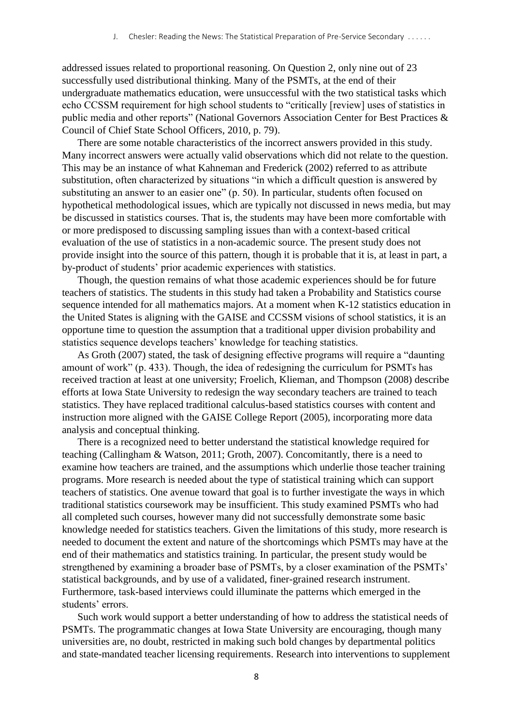addressed issues related to proportional reasoning. On Question 2, only nine out of 23 successfully used distributional thinking. Many of the PSMTs, at the end of their undergraduate mathematics education, were unsuccessful with the two statistical tasks which echo CCSSM requirement for high school students to "critically [review] uses of statistics in public media and other reports" (National Governors Association Center for Best Practices & Council of Chief State School Officers, 2010, p. 79).

There are some notable characteristics of the incorrect answers provided in this study. Many incorrect answers were actually valid observations which did not relate to the question. This may be an instance of what Kahneman and Frederick (2002) referred to as attribute substitution, often characterized by situations "in which a difficult question is answered by substituting an answer to an easier one" (p. 50). In particular, students often focused on hypothetical methodological issues, which are typically not discussed in news media, but may be discussed in statistics courses. That is, the students may have been more comfortable with or more predisposed to discussing sampling issues than with a context-based critical evaluation of the use of statistics in a non-academic source. The present study does not provide insight into the source of this pattern, though it is probable that it is, at least in part, a by-product of students' prior academic experiences with statistics.

Though, the question remains of what those academic experiences should be for future teachers of statistics. The students in this study had taken a Probability and Statistics course sequence intended for all mathematics majors. At a moment when K-12 statistics education in the United States is aligning with the GAISE and CCSSM visions of school statistics, it is an opportune time to question the assumption that a traditional upper division probability and statistics sequence develops teachers' knowledge for teaching statistics.

As Groth (2007) stated, the task of designing effective programs will require a "daunting amount of work" (p. 433). Though, the idea of redesigning the curriculum for PSMTs has received traction at least at one university; Froelich, Klieman, and Thompson (2008) describe efforts at Iowa State University to redesign the way secondary teachers are trained to teach statistics. They have replaced traditional calculus-based statistics courses with content and instruction more aligned with the GAISE College Report (2005), incorporating more data analysis and conceptual thinking.

There is a recognized need to better understand the statistical knowledge required for teaching (Callingham & Watson, 2011; Groth, 2007). Concomitantly, there is a need to examine how teachers are trained, and the assumptions which underlie those teacher training programs. More research is needed about the type of statistical training which can support teachers of statistics. One avenue toward that goal is to further investigate the ways in which traditional statistics coursework may be insufficient. This study examined PSMTs who had all completed such courses, however many did not successfully demonstrate some basic knowledge needed for statistics teachers. Given the limitations of this study, more research is needed to document the extent and nature of the shortcomings which PSMTs may have at the end of their mathematics and statistics training. In particular, the present study would be strengthened by examining a broader base of PSMTs, by a closer examination of the PSMTs' statistical backgrounds, and by use of a validated, finer-grained research instrument. Furthermore, task-based interviews could illuminate the patterns which emerged in the students' errors.

Such work would support a better understanding of how to address the statistical needs of PSMTs. The programmatic changes at Iowa State University are encouraging, though many universities are, no doubt, restricted in making such bold changes by departmental politics and state-mandated teacher licensing requirements. Research into interventions to supplement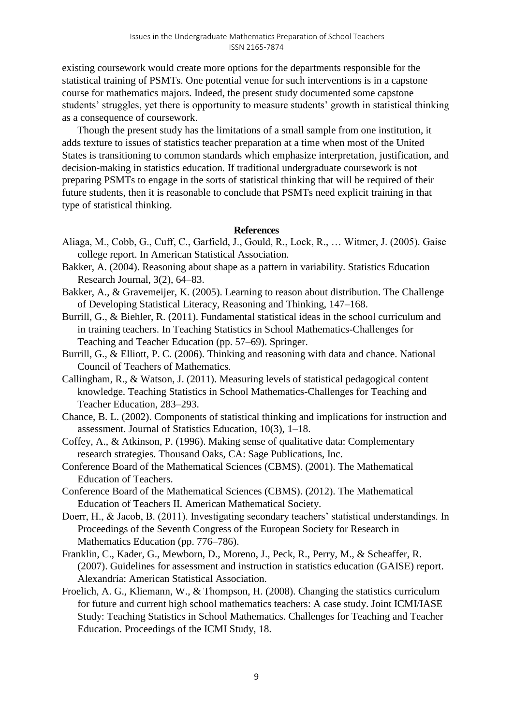existing coursework would create more options for the departments responsible for the statistical training of PSMTs. One potential venue for such interventions is in a capstone course for mathematics majors. Indeed, the present study documented some capstone students' struggles, yet there is opportunity to measure students' growth in statistical thinking as a consequence of coursework.

Though the present study has the limitations of a small sample from one institution, it adds texture to issues of statistics teacher preparation at a time when most of the United States is transitioning to common standards which emphasize interpretation, justification, and decision-making in statistics education. If traditional undergraduate coursework is not preparing PSMTs to engage in the sorts of statistical thinking that will be required of their future students, then it is reasonable to conclude that PSMTs need explicit training in that type of statistical thinking.

## **References**

- Aliaga, M., Cobb, G., Cuff, C., Garfield, J., Gould, R., Lock, R., … Witmer, J. (2005). Gaise college report. In American Statistical Association.
- Bakker, A. (2004). Reasoning about shape as a pattern in variability. Statistics Education Research Journal, 3(2), 64–83.
- Bakker, A., & Gravemeijer, K. (2005). Learning to reason about distribution. The Challenge of Developing Statistical Literacy, Reasoning and Thinking, 147–168.
- Burrill, G., & Biehler, R. (2011). Fundamental statistical ideas in the school curriculum and in training teachers. In Teaching Statistics in School Mathematics-Challenges for Teaching and Teacher Education (pp. 57–69). Springer.
- Burrill, G., & Elliott, P. C. (2006). Thinking and reasoning with data and chance. National Council of Teachers of Mathematics.
- Callingham, R., & Watson, J. (2011). Measuring levels of statistical pedagogical content knowledge. Teaching Statistics in School Mathematics-Challenges for Teaching and Teacher Education, 283–293.
- Chance, B. L. (2002). Components of statistical thinking and implications for instruction and assessment. Journal of Statistics Education, 10(3), 1–18.
- Coffey, A., & Atkinson, P. (1996). Making sense of qualitative data: Complementary research strategies. Thousand Oaks, CA: Sage Publications, Inc.
- Conference Board of the Mathematical Sciences (CBMS). (2001). The Mathematical Education of Teachers.
- Conference Board of the Mathematical Sciences (CBMS). (2012). The Mathematical Education of Teachers II. American Mathematical Society.
- Doerr, H., & Jacob, B. (2011). Investigating secondary teachers' statistical understandings. In Proceedings of the Seventh Congress of the European Society for Research in Mathematics Education (pp. 776–786).
- Franklin, C., Kader, G., Mewborn, D., Moreno, J., Peck, R., Perry, M., & Scheaffer, R. (2007). Guidelines for assessment and instruction in statistics education (GAISE) report. Alexandría: American Statistical Association.
- Froelich, A. G., Kliemann, W., & Thompson, H. (2008). Changing the statistics curriculum for future and current high school mathematics teachers: A case study. Joint ICMI/IASE Study: Teaching Statistics in School Mathematics. Challenges for Teaching and Teacher Education. Proceedings of the ICMI Study, 18.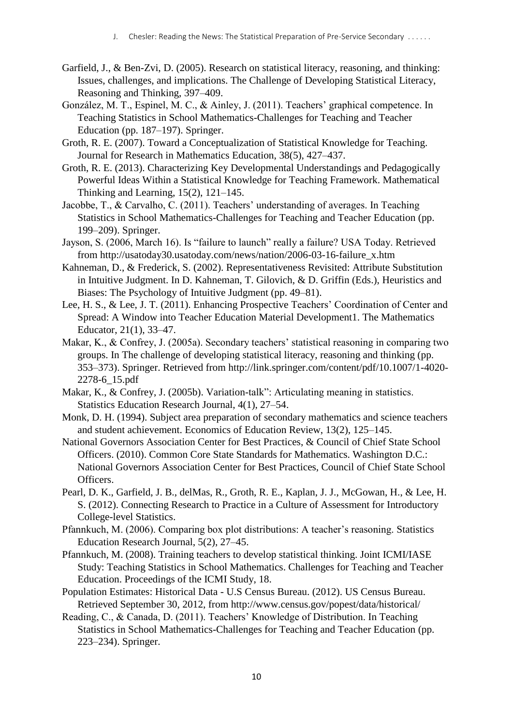- Garfield, J., & Ben-Zvi, D. (2005). Research on statistical literacy, reasoning, and thinking: Issues, challenges, and implications. The Challenge of Developing Statistical Literacy, Reasoning and Thinking, 397–409.
- González, M. T., Espinel, M. C., & Ainley, J. (2011). Teachers' graphical competence. In Teaching Statistics in School Mathematics-Challenges for Teaching and Teacher Education (pp. 187–197). Springer.
- Groth, R. E. (2007). Toward a Conceptualization of Statistical Knowledge for Teaching. Journal for Research in Mathematics Education, 38(5), 427–437.
- Groth, R. E. (2013). Characterizing Key Developmental Understandings and Pedagogically Powerful Ideas Within a Statistical Knowledge for Teaching Framework. Mathematical Thinking and Learning, 15(2), 121–145.
- Jacobbe, T., & Carvalho, C. (2011). Teachers' understanding of averages. In Teaching Statistics in School Mathematics-Challenges for Teaching and Teacher Education (pp. 199–209). Springer.
- Jayson, S. (2006, March 16). Is "failure to launch" really a failure? USA Today. Retrieved from http://usatoday30.usatoday.com/news/nation/2006-03-16-failure\_x.htm
- Kahneman, D., & Frederick, S. (2002). Representativeness Revisited: Attribute Substitution in Intuitive Judgment. In D. Kahneman, T. Gilovich, & D. Griffin (Eds.), Heuristics and Biases: The Psychology of Intuitive Judgment (pp. 49–81).
- Lee, H. S., & Lee, J. T. (2011). Enhancing Prospective Teachers' Coordination of Center and Spread: A Window into Teacher Education Material Development1. The Mathematics Educator, 21(1), 33–47.
- Makar, K., & Confrey, J. (2005a). Secondary teachers' statistical reasoning in comparing two groups. In The challenge of developing statistical literacy, reasoning and thinking (pp. 353–373). Springer. Retrieved from http://link.springer.com/content/pdf/10.1007/1-4020- 2278-6\_15.pdf
- Makar, K., & Confrey, J. (2005b). Variation-talk": Articulating meaning in statistics. Statistics Education Research Journal, 4(1), 27–54.
- Monk, D. H. (1994). Subject area preparation of secondary mathematics and science teachers and student achievement. Economics of Education Review, 13(2), 125–145.
- National Governors Association Center for Best Practices, & Council of Chief State School Officers. (2010). Common Core State Standards for Mathematics. Washington D.C.: National Governors Association Center for Best Practices, Council of Chief State School Officers.
- Pearl, D. K., Garfield, J. B., delMas, R., Groth, R. E., Kaplan, J. J., McGowan, H., & Lee, H. S. (2012). Connecting Research to Practice in a Culture of Assessment for Introductory College-level Statistics.
- Pfannkuch, M. (2006). Comparing box plot distributions: A teacher's reasoning. Statistics Education Research Journal, 5(2), 27–45.
- Pfannkuch, M. (2008). Training teachers to develop statistical thinking. Joint ICMI/IASE Study: Teaching Statistics in School Mathematics. Challenges for Teaching and Teacher Education. Proceedings of the ICMI Study, 18.
- Population Estimates: Historical Data U.S Census Bureau. (2012). US Census Bureau. Retrieved September 30, 2012, from http://www.census.gov/popest/data/historical/
- Reading, C., & Canada, D. (2011). Teachers' Knowledge of Distribution. In Teaching Statistics in School Mathematics-Challenges for Teaching and Teacher Education (pp. 223–234). Springer.